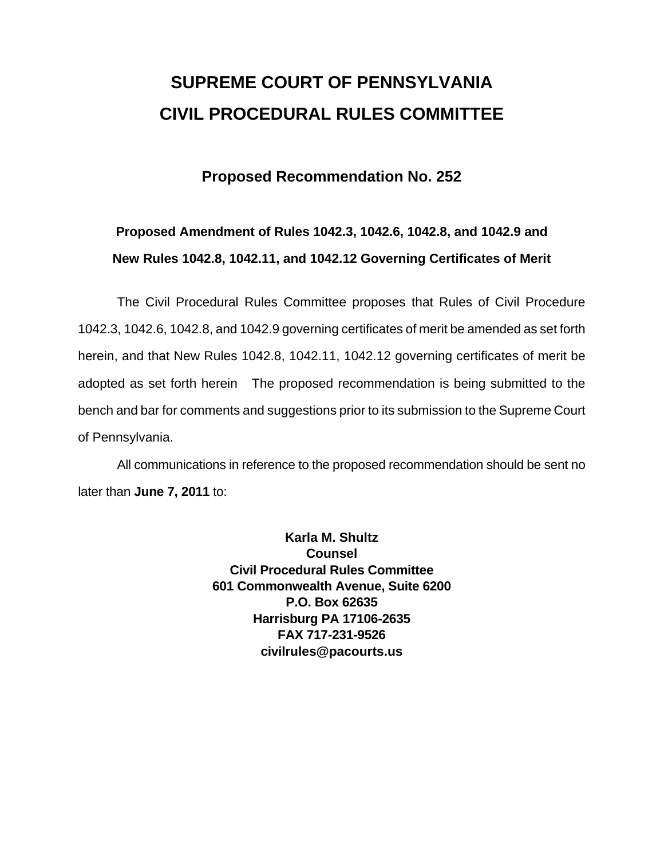# **SUPREME COURT OF PENNSYLVANIA CIVIL PROCEDURAL RULES COMMITTEE**

### **Proposed Recommendation No. 252**

# **Proposed Amendment of Rules 1042.3, 1042.6, 1042.8, and 1042.9 and New Rules 1042.8, 1042.11, and 1042.12 Governing Certificates of Merit**

 The Civil Procedural Rules Committee proposes that Rules of Civil Procedure 1042.3, 1042.6, 1042.8, and 1042.9 governing certificates of merit be amended as set forth herein, and that New Rules 1042.8, 1042.11, 1042.12 governing certificates of merit be adopted as set forth herein The proposed recommendation is being submitted to the bench and bar for comments and suggestions prior to its submission to the Supreme Court of Pennsylvania.

 All communications in reference to the proposed recommendation should be sent no later than **June 7, 2011** to:

> **Karla M. Shultz Counsel Civil Procedural Rules Committee 601 Commonwealth Avenue, Suite 6200 P.O. Box 62635 Harrisburg PA 17106-2635 FAX 717-231-9526 civilrules@pacourts.us**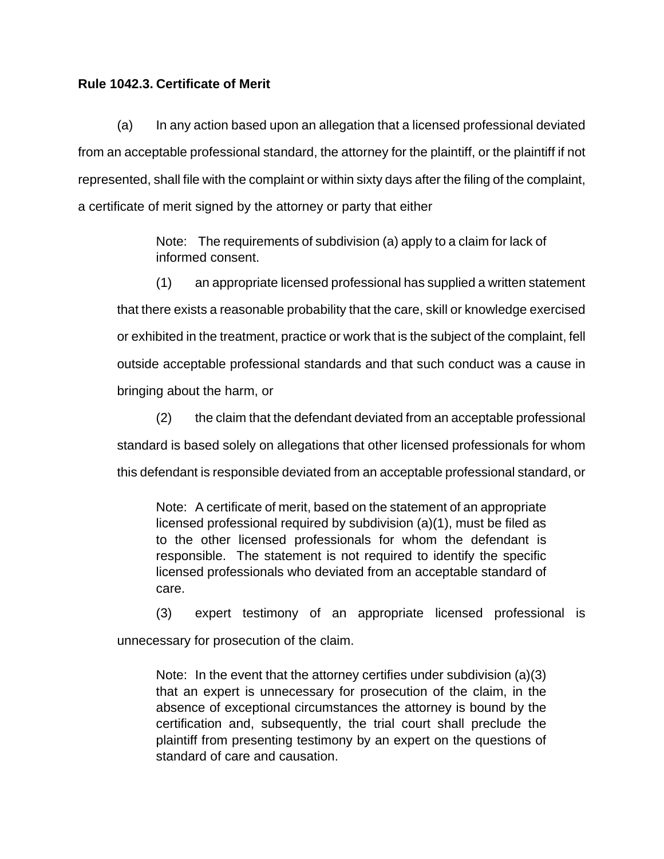#### **Rule 1042.3. Certificate of Merit**

 (a) In any action based upon an allegation that a licensed professional deviated from an acceptable professional standard, the attorney for the plaintiff, or the plaintiff if not represented, shall file with the complaint or within sixty days after the filing of the complaint, a certificate of merit signed by the attorney or party that either

> Note: The requirements of subdivision (a) apply to a claim for lack of informed consent.

(1) an appropriate licensed professional has supplied a written statement that there exists a reasonable probability that the care, skill or knowledge exercised or exhibited in the treatment, practice or work that is the subject of the complaint, fell outside acceptable professional standards and that such conduct was a cause in bringing about the harm, or

(2) the claim that the defendant deviated from an acceptable professional standard is based solely on allegations that other licensed professionals for whom this defendant is responsible deviated from an acceptable professional standard, or

Note: A certificate of merit, based on the statement of an appropriate licensed professional required by subdivision (a)(1), must be filed as to the other licensed professionals for whom the defendant is responsible. The statement is not required to identify the specific licensed professionals who deviated from an acceptable standard of care.

(3) expert testimony of an appropriate licensed professional is unnecessary for prosecution of the claim.

Note: In the event that the attorney certifies under subdivision (a)(3) that an expert is unnecessary for prosecution of the claim, in the absence of exceptional circumstances the attorney is bound by the certification and, subsequently, the trial court shall preclude the plaintiff from presenting testimony by an expert on the questions of standard of care and causation.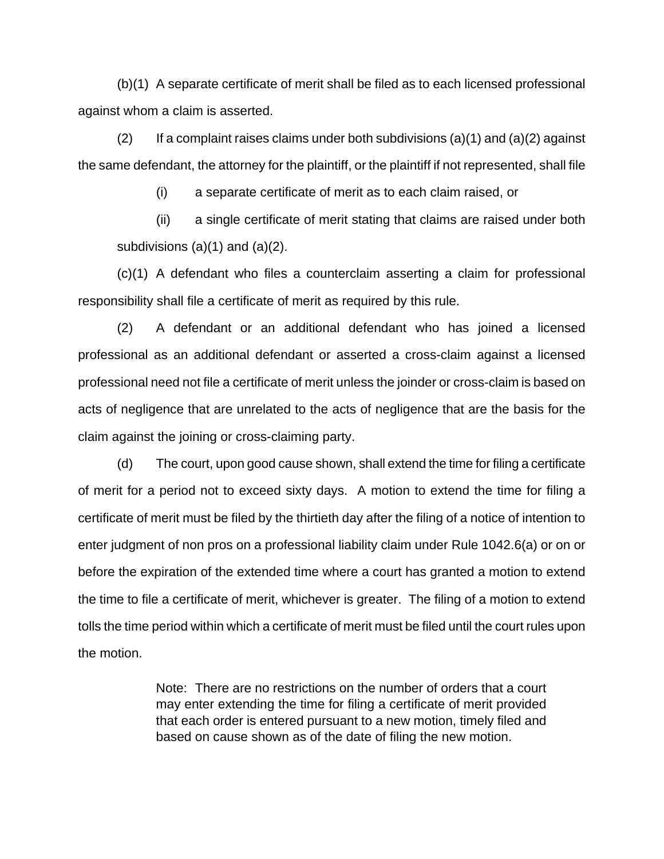(b)(1) A separate certificate of merit shall be filed as to each licensed professional against whom a claim is asserted.

(2) If a complaint raises claims under both subdivisions  $(a)(1)$  and  $(a)(2)$  against the same defendant, the attorney for the plaintiff, or the plaintiff if not represented, shall file

(i) a separate certificate of merit as to each claim raised, or

 (ii) a single certificate of merit stating that claims are raised under both subdivisions (a)(1) and (a)(2).

 (c)(1) A defendant who files a counterclaim asserting a claim for professional responsibility shall file a certificate of merit as required by this rule.

 (2) A defendant or an additional defendant who has joined a licensed professional as an additional defendant or asserted a cross-claim against a licensed professional need not file a certificate of merit unless the joinder or cross-claim is based on acts of negligence that are unrelated to the acts of negligence that are the basis for the claim against the joining or cross-claiming party.

 (d) The court, upon good cause shown, shall extend the time for filing a certificate of merit for a period not to exceed sixty days. A motion to extend the time for filing a certificate of merit must be filed by the thirtieth day after the filing of a notice of intention to enter judgment of non pros on a professional liability claim under Rule 1042.6(a) or on or before the expiration of the extended time where a court has granted a motion to extend the time to file a certificate of merit, whichever is greater. The filing of a motion to extend tolls the time period within which a certificate of merit must be filed until the court rules upon the motion.

> Note: There are no restrictions on the number of orders that a court may enter extending the time for filing a certificate of merit provided that each order is entered pursuant to a new motion, timely filed and based on cause shown as of the date of filing the new motion.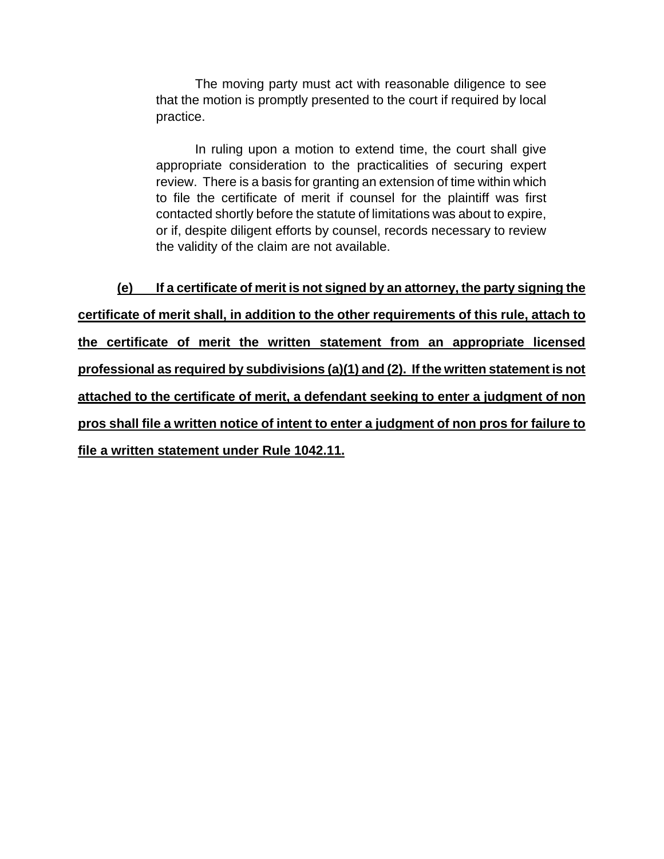The moving party must act with reasonable diligence to see that the motion is promptly presented to the court if required by local practice.

In ruling upon a motion to extend time, the court shall give appropriate consideration to the practicalities of securing expert review. There is a basis for granting an extension of time within which to file the certificate of merit if counsel for the plaintiff was first contacted shortly before the statute of limitations was about to expire, or if, despite diligent efforts by counsel, records necessary to review the validity of the claim are not available.

**(e) If a certificate of merit is not signed by an attorney, the party signing the certificate of merit shall, in addition to the other requirements of this rule, attach to the certificate of merit the written statement from an appropriate licensed professional as required by subdivisions (a)(1) and (2). If the written statement is not attached to the certificate of merit, a defendant seeking to enter a judgment of non pros shall file a written notice of intent to enter a judgment of non pros for failure to file a written statement under Rule 1042.11.**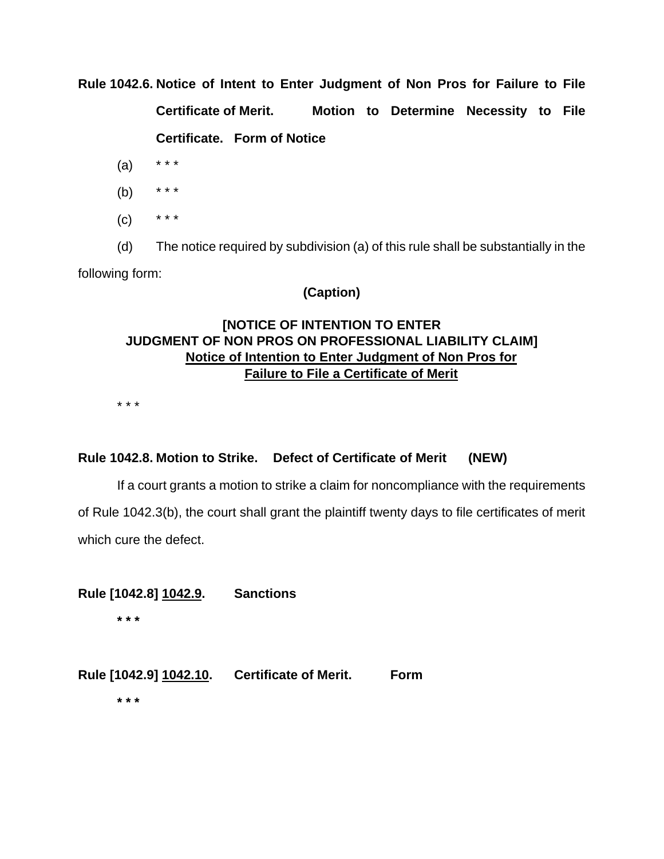**Rule 1042.6. Notice of Intent to Enter Judgment of Non Pros for Failure to File** 

**Certificate of Merit. Motion to Determine Necessity to File Certificate. Form of Notice** 

- $(a)$  \* \* \*
- (b) \* \* \*
- $(C)$  \* \* \*

(d) The notice required by subdivision (a) of this rule shall be substantially in the following form:

### **(Caption)**

## **[NOTICE OF INTENTION TO ENTER JUDGMENT OF NON PROS ON PROFESSIONAL LIABILITY CLAIM] Notice of Intention to Enter Judgment of Non Pros for Failure to File a Certificate of Merit**

\* \* \*

### **Rule 1042.8. Motion to Strike. Defect of Certificate of Merit (NEW)**

If a court grants a motion to strike a claim for noncompliance with the requirements of Rule 1042.3(b), the court shall grant the plaintiff twenty days to file certificates of merit which cure the defect.

**Rule [1042.8] 1042.9. Sanctions** 

 **\* \* \*** 

**Rule [1042.9] 1042.10. Certificate of Merit. Form** 

**\* \* \***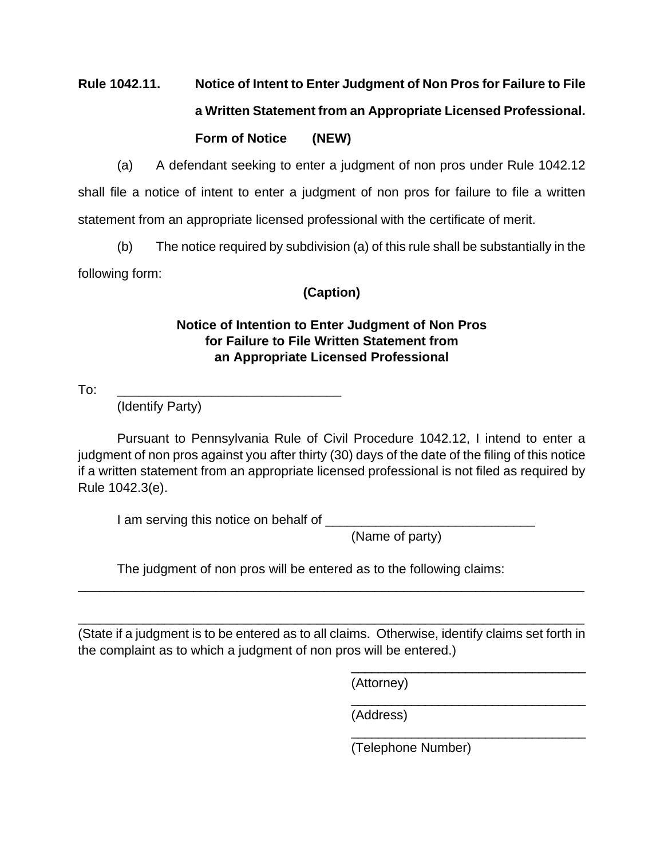# **Rule 1042.11. Notice of Intent to Enter Judgment of Non Pros for Failure to File a Written Statement from an Appropriate Licensed Professional. Form of Notice (NEW)**

(a) A defendant seeking to enter a judgment of non pros under Rule 1042.12 shall file a notice of intent to enter a judgment of non pros for failure to file a written statement from an appropriate licensed professional with the certificate of merit.

 (b) The notice required by subdivision (a) of this rule shall be substantially in the following form:

## **(Caption)**

## **Notice of Intention to Enter Judgment of Non Pros for Failure to File Written Statement from an Appropriate Licensed Professional**

To: \_\_\_\_\_\_\_\_\_\_\_\_\_\_\_\_\_\_\_\_\_\_\_\_\_\_\_\_\_\_\_

(Identify Party)

Pursuant to Pennsylvania Rule of Civil Procedure 1042.12, I intend to enter a judgment of non pros against you after thirty (30) days of the date of the filing of this notice if a written statement from an appropriate licensed professional is not filed as required by Rule 1042.3(e).

I am serving this notice on behalf of

(Name of party)

The judgment of non pros will be entered as to the following claims:

(State if a judgment is to be entered as to all claims. Otherwise, identify claims set forth in the complaint as to which a judgment of non pros will be entered.)

 $\overline{\phantom{a}}$  , which is a set of the set of the set of the set of the set of the set of the set of the set of the set of the set of the set of the set of the set of the set of the set of the set of the set of the set of th

 $\overline{\phantom{a}}$  , which is a set of the set of the set of the set of the set of the set of the set of the set of the set of the set of the set of the set of the set of the set of the set of the set of the set of the set of th

 $\overline{\phantom{a}}$  , which is a set of the set of the set of the set of the set of the set of the set of the set of the set of the set of the set of the set of the set of the set of the set of the set of the set of the set of th

\_\_\_\_\_\_\_\_\_\_\_\_\_\_\_\_\_\_\_\_\_\_\_\_\_\_\_\_\_\_\_\_\_\_\_\_\_\_\_\_\_\_\_\_\_\_\_\_\_\_\_\_\_\_\_\_\_\_\_\_\_\_\_\_\_\_\_\_\_\_

\_\_\_\_\_\_\_\_\_\_\_\_\_\_\_\_\_\_\_\_\_\_\_\_\_\_\_\_\_\_\_\_\_\_\_\_\_\_\_\_\_\_\_\_\_\_\_\_\_\_\_\_\_\_\_\_\_\_\_\_\_\_\_\_\_\_\_\_\_\_

(Attorney)

(Address)

(Telephone Number)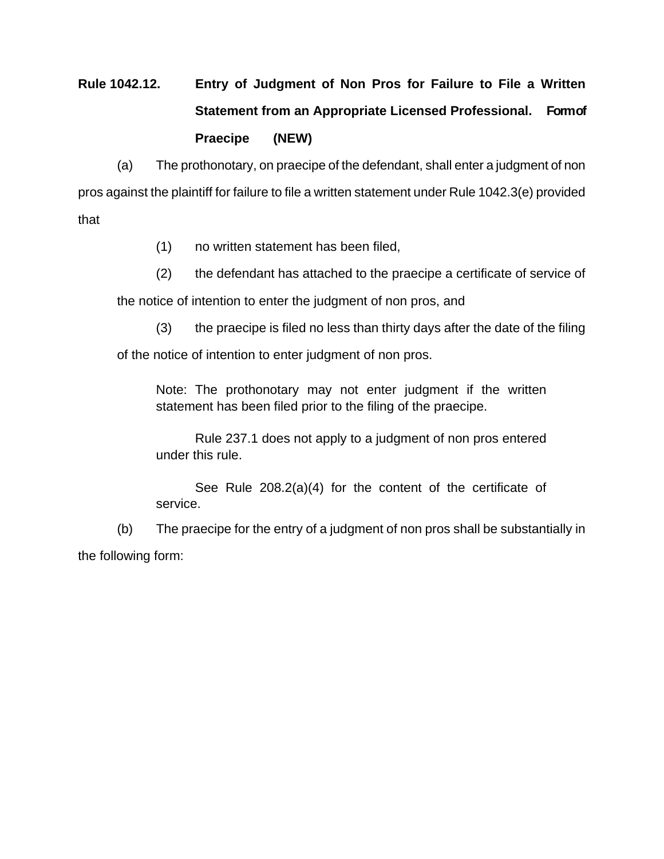# **Rule 1042.12. Entry of Judgment of Non Pros for Failure to File a Written Statement from an Appropriate Licensed Professional. Form of Praecipe (NEW)**

(a) The prothonotary, on praecipe of the defendant, shall enter a judgment of non pros against the plaintiff for failure to file a written statement under Rule 1042.3(e) provided that

- (1) no written statement has been filed,
- (2) the defendant has attached to the praecipe a certificate of service of

the notice of intention to enter the judgment of non pros, and

(3) the praecipe is filed no less than thirty days after the date of the filing

of the notice of intention to enter judgment of non pros.

Note: The prothonotary may not enter judgment if the written statement has been filed prior to the filing of the praecipe.

Rule 237.1 does not apply to a judgment of non pros entered under this rule.

See Rule 208.2(a)(4) for the content of the certificate of service.

(b) The praecipe for the entry of a judgment of non pros shall be substantially in the following form: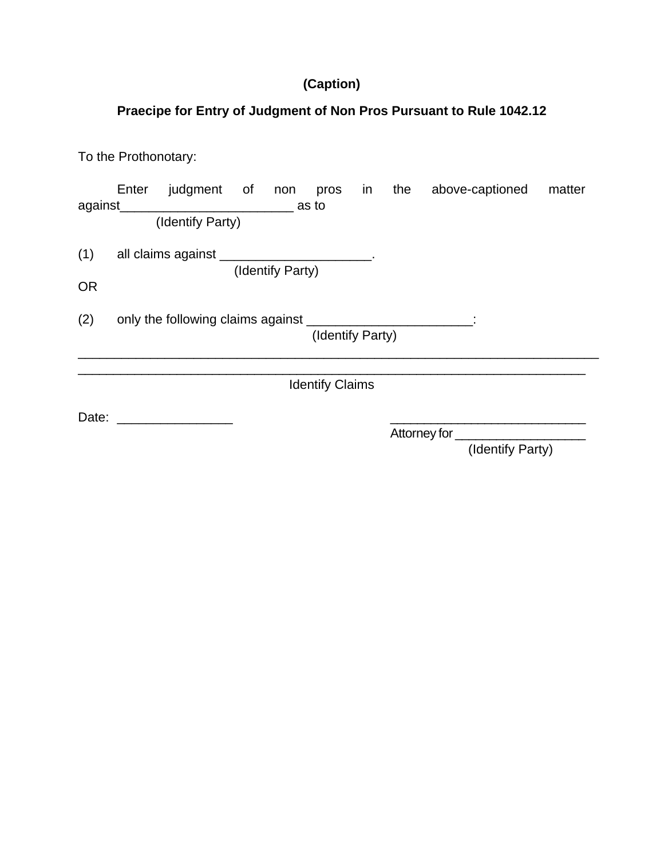# **(Caption)**

# **Praecipe for Entry of Judgment of Non Pros Pursuant to Rule 1042.12**

To the Prothonotary:

|                        |                                                                                    |  |  |  |  |  |              |  | Enter judgment of non pros in the above-captioned | matter |
|------------------------|------------------------------------------------------------------------------------|--|--|--|--|--|--------------|--|---------------------------------------------------|--------|
|                        | (Identify Party)                                                                   |  |  |  |  |  |              |  |                                                   |        |
| (1)                    | all claims against _______________________.<br>(Identify Party)                    |  |  |  |  |  |              |  |                                                   |        |
| <b>OR</b>              |                                                                                    |  |  |  |  |  |              |  |                                                   |        |
| (2)                    | only the following claims against ___________________________:<br>(Identify Party) |  |  |  |  |  |              |  |                                                   |        |
| <b>Identify Claims</b> |                                                                                    |  |  |  |  |  |              |  |                                                   |        |
| Date:                  |                                                                                    |  |  |  |  |  | Attorney for |  |                                                   |        |
|                        |                                                                                    |  |  |  |  |  |              |  | (Identify Party)                                  |        |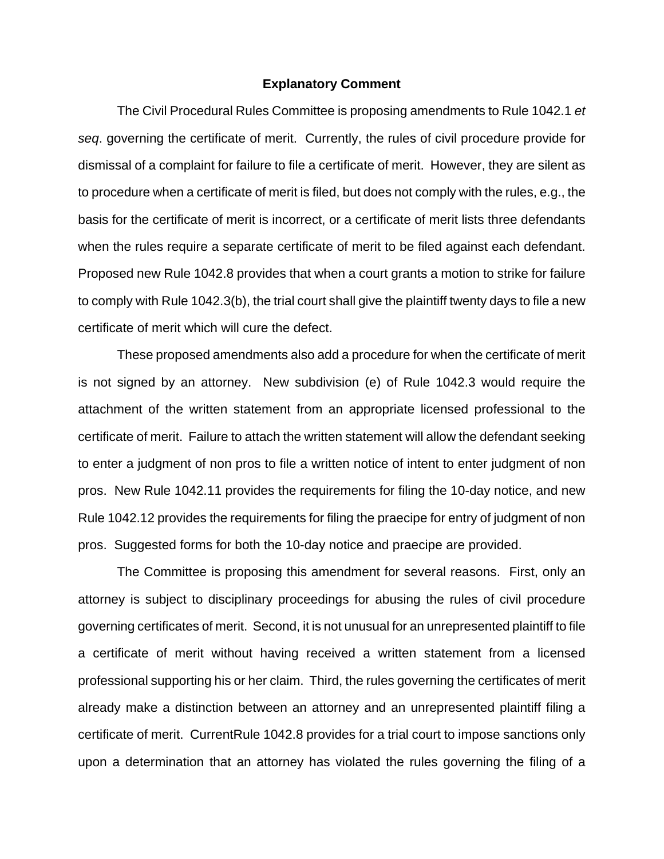#### **Explanatory Comment**

 The Civil Procedural Rules Committee is proposing amendments to Rule 1042.1 *et seq*. governing the certificate of merit. Currently, the rules of civil procedure provide for dismissal of a complaint for failure to file a certificate of merit. However, they are silent as to procedure when a certificate of merit is filed, but does not comply with the rules, e.g., the basis for the certificate of merit is incorrect, or a certificate of merit lists three defendants when the rules require a separate certificate of merit to be filed against each defendant. Proposed new Rule 1042.8 provides that when a court grants a motion to strike for failure to comply with Rule 1042.3(b), the trial court shall give the plaintiff twenty days to file a new certificate of merit which will cure the defect.

These proposed amendments also add a procedure for when the certificate of merit is not signed by an attorney. New subdivision (e) of Rule 1042.3 would require the attachment of the written statement from an appropriate licensed professional to the certificate of merit. Failure to attach the written statement will allow the defendant seeking to enter a judgment of non pros to file a written notice of intent to enter judgment of non pros. New Rule 1042.11 provides the requirements for filing the 10-day notice, and new Rule 1042.12 provides the requirements for filing the praecipe for entry of judgment of non pros. Suggested forms for both the 10-day notice and praecipe are provided.

The Committee is proposing this amendment for several reasons. First, only an attorney is subject to disciplinary proceedings for abusing the rules of civil procedure governing certificates of merit. Second, it is not unusual for an unrepresented plaintiff to file a certificate of merit without having received a written statement from a licensed professional supporting his or her claim. Third, the rules governing the certificates of merit already make a distinction between an attorney and an unrepresented plaintiff filing a certificate of merit. CurrentRule 1042.8 provides for a trial court to impose sanctions only upon a determination that an attorney has violated the rules governing the filing of a